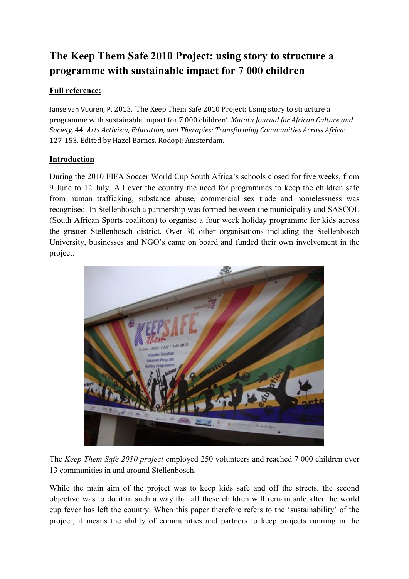# **The Keep Them Safe 2010 Project: using story to structure a programme with sustainable impact for 7 000 children**

## **Full reference:**

Janse van Vuuren, P. 2013. 'The Keep Them Safe 2010 Project: Using story to structure a programme with sustainable impact for 7 000 children'. *Matatu Journal for African Culture and Society,* 44. *Arts Activism, Education, and Therapies: Transforming Communities Across Africa*: 127-153. Edited by Hazel Barnes. Rodopi: Amsterdam.

## **Introduction**

During the 2010 FIFA Soccer World Cup South Africa's schools closed for five weeks, from 9 June to 12 July. All over the country the need for programmes to keep the children safe from human trafficking, substance abuse, commercial sex trade and homelessness was recognised. In Stellenbosch a partnership was formed between the municipality and SASCOL (South African Sports coalition) to organise a four week holiday programme for kids across the greater Stellenbosch district. Over 30 other organisations including the Stellenbosch University, businesses and NGO's came on board and funded their own involvement in the project.



The *Keep Them Safe 2010 project* employed 250 volunteers and reached 7 000 children over 13 communities in and around Stellenbosch.

While the main aim of the project was to keep kids safe and off the streets, the second objective was to do it in such a way that all these children will remain safe after the world cup fever has left the country. When this paper therefore refers to the 'sustainability' of the project, it means the ability of communities and partners to keep projects running in the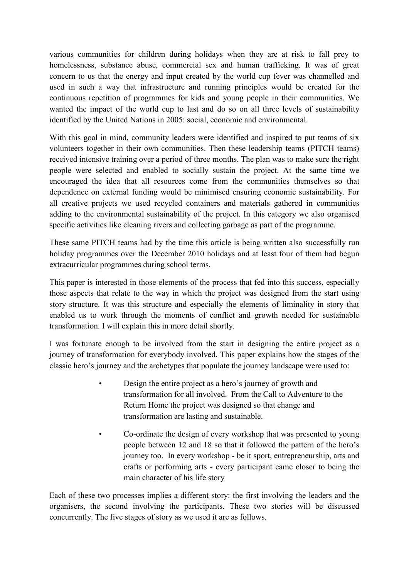various communities for children during holidays when they are at risk to fall prey to homelessness, substance abuse, commercial sex and human trafficking. It was of great concern to us that the energy and input created by the world cup fever was channelled and used in such a way that infrastructure and running principles would be created for the continuous repetition of programmes for kids and young people in their communities. We wanted the impact of the world cup to last and do so on all three levels of sustainability identified by the United Nations in 2005: social, economic and environmental.

With this goal in mind, community leaders were identified and inspired to put teams of six volunteers together in their own communities. Then these leadership teams (PITCH teams) received intensive training over a period of three months. The plan was to make sure the right people were selected and enabled to socially sustain the project. At the same time we encouraged the idea that all resources come from the communities themselves so that dependence on external funding would be minimised ensuring economic sustainability. For all creative projects we used recycled containers and materials gathered in communities adding to the environmental sustainability of the project. In this category we also organised specific activities like cleaning rivers and collecting garbage as part of the programme.

These same PITCH teams had by the time this article is being written also successfully run holiday programmes over the December 2010 holidays and at least four of them had begun extracurricular programmes during school terms.

This paper is interested in those elements of the process that fed into this success, especially those aspects that relate to the way in which the project was designed from the start using story structure. It was this structure and especially the elements of liminality in story that enabled us to work through the moments of conflict and growth needed for sustainable transformation. I will explain this in more detail shortly.

I was fortunate enough to be involved from the start in designing the entire project as a journey of transformation for everybody involved. This paper explains how the stages of the classic hero's journey and the archetypes that populate the journey landscape were used to:

- Design the entire project as a hero's journey of growth and transformation for all involved. From the Call to Adventure to the Return Home the project was designed so that change and transformation are lasting and sustainable.
	- Co-ordinate the design of every workshop that was presented to young people between 12 and 18 so that it followed the pattern of the hero's journey too. In every workshop - be it sport, entrepreneurship, arts and crafts or performing arts - every participant came closer to being the main character of his life story

Each of these two processes implies a different story: the first involving the leaders and the organisers, the second involving the participants. These two stories will be discussed concurrently. The five stages of story as we used it are as follows.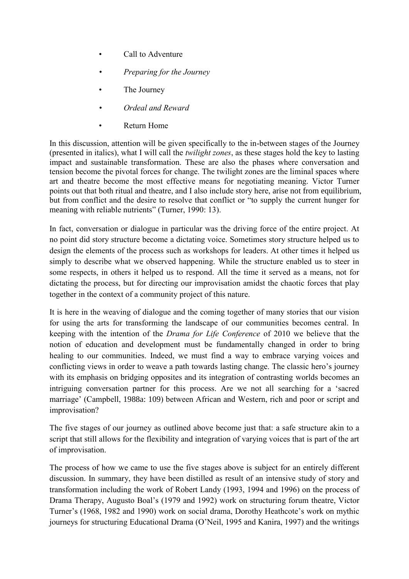- Call to Adventure
- *• Preparing for the Journey*
- The Journey
- *• Ordeal and Reward*
- Return Home

In this discussion, attention will be given specifically to the in-between stages of the Journey (presented in italics), what I will call the *twilight zones*, as these stages hold the key to lasting impact and sustainable transformation. These are also the phases where conversation and tension become the pivotal forces for change. The twilight zones are the liminal spaces where art and theatre become the most effective means for negotiating meaning. Victor Turner points out that both ritual and theatre, and I also include story here, arise not from equilibrium, but from conflict and the desire to resolve that conflict or "to supply the current hunger for meaning with reliable nutrients" (Turner, 1990: 13).

In fact, conversation or dialogue in particular was the driving force of the entire project. At no point did story structure become a dictating voice. Sometimes story structure helped us to design the elements of the process such as workshops for leaders. At other times it helped us simply to describe what we observed happening. While the structure enabled us to steer in some respects, in others it helped us to respond. All the time it served as a means, not for dictating the process, but for directing our improvisation amidst the chaotic forces that play together in the context of a community project of this nature.

It is here in the weaving of dialogue and the coming together of many stories that our vision for using the arts for transforming the landscape of our communities becomes central. In keeping with the intention of the *Drama for Life Conference* of 2010 we believe that the notion of education and development must be fundamentally changed in order to bring healing to our communities. Indeed, we must find a way to embrace varying voices and conflicting views in order to weave a path towards lasting change. The classic hero's journey with its emphasis on bridging opposites and its integration of contrasting worlds becomes an intriguing conversation partner for this process. Are we not all searching for a 'sacred marriage' (Campbell, 1988a: 109) between African and Western, rich and poor or script and improvisation?

The five stages of our journey as outlined above become just that: a safe structure akin to a script that still allows for the flexibility and integration of varying voices that is part of the art of improvisation.

The process of how we came to use the five stages above is subject for an entirely different discussion. In summary, they have been distilled as result of an intensive study of story and transformation including the work of Robert Landy (1993, 1994 and 1996) on the process of Drama Therapy, Augusto Boal's (1979 and 1992) work on structuring forum theatre, Victor Turner's (1968, 1982 and 1990) work on social drama, Dorothy Heathcote's work on mythic journeys for structuring Educational Drama (O'Neil, 1995 and Kanira, 1997) and the writings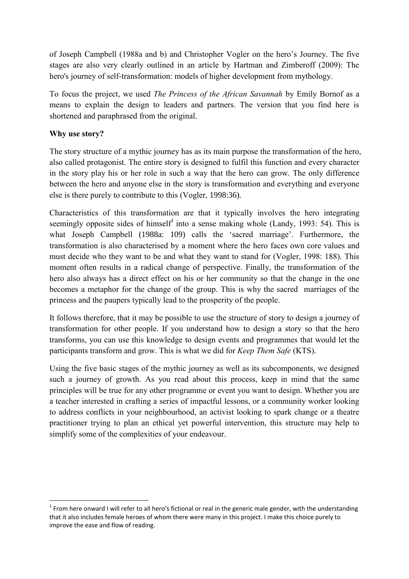of Joseph Campbell (1988a and b) and Christopher Vogler on the hero's Journey. The five stages are also very clearly outlined in an article by Hartman and Zimberoff (2009): The hero's journey of self-transformation: models of higher development from mythology.

To focus the project, we used *The Princess of the African Savannah* by Emily Bornof as a means to explain the design to leaders and partners. The version that you find here is shortened and paraphrased from the original.

#### **Why use story?**

**.** 

The story structure of a mythic journey has as its main purpose the transformation of the hero, also called protagonist. The entire story is designed to fulfil this function and every character in the story play his or her role in such a way that the hero can grow. The only difference between the hero and anyone else in the story is transformation and everything and everyone else is there purely to contribute to this (Vogler, 1998:36).

Characteristics of this transformation are that it typically involves the hero integrating seemingly opposite sides of himself<sup>1</sup> into a sense making whole (Landy, 1993: 54). This is what Joseph Campbell (1988a: 109) calls the 'sacred marriage'. Furthermore, the transformation is also characterised by a moment where the hero faces own core values and must decide who they want to be and what they want to stand for (Vogler, 1998: 188). This moment often results in a radical change of perspective. Finally, the transformation of the hero also always has a direct effect on his or her community so that the change in the one becomes a metaphor for the change of the group. This is why the sacred marriages of the princess and the paupers typically lead to the prosperity of the people.

It follows therefore, that it may be possible to use the structure of story to design a journey of transformation for other people. If you understand how to design a story so that the hero transforms, you can use this knowledge to design events and programmes that would let the participants transform and grow. This is what we did for *Keep Them Safe* (KTS).

Using the five basic stages of the mythic journey as well as its subcomponents, we designed such a journey of growth. As you read about this process, keep in mind that the same principles will be true for any other programme or event you want to design. Whether you are a teacher interested in crafting a series of impactful lessons, or a community worker looking to address conflicts in your neighbourhood, an activist looking to spark change or a theatre practitioner trying to plan an ethical yet powerful intervention, this structure may help to simplify some of the complexities of your endeavour.

 $1$  From here onward I will refer to all hero's fictional or real in the generic male gender, with the understanding that it also includes female heroes of whom there were many in this project. I make this choice purely to improve the ease and flow of reading.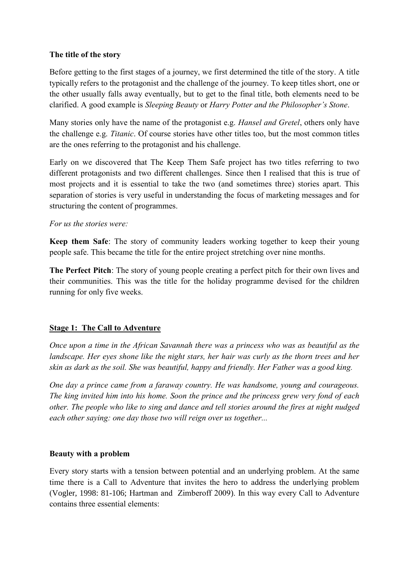#### **The title of the story**

Before getting to the first stages of a journey, we first determined the title of the story. A title typically refers to the protagonist and the challenge of the journey. To keep titles short, one or the other usually falls away eventually, but to get to the final title, both elements need to be clarified. A good example is *Sleeping Beauty* or *Harry Potter and the Philosopher's Stone*.

Many stories only have the name of the protagonist e.g. *Hansel and Gretel*, others only have the challenge e.g. *Titanic*. Of course stories have other titles too, but the most common titles are the ones referring to the protagonist and his challenge.

Early on we discovered that The Keep Them Safe project has two titles referring to two different protagonists and two different challenges. Since then I realised that this is true of most projects and it is essential to take the two (and sometimes three) stories apart. This separation of stories is very useful in understanding the focus of marketing messages and for structuring the content of programmes.

#### *For us the stories were:*

**Keep them Safe**: The story of community leaders working together to keep their young people safe. This became the title for the entire project stretching over nine months.

**The Perfect Pitch**: The story of young people creating a perfect pitch for their own lives and their communities. This was the title for the holiday programme devised for the children running for only five weeks.

## **Stage 1: The Call to Adventure**

*Once upon a time in the African Savannah there was a princess who was as beautiful as the landscape. Her eyes shone like the night stars, her hair was curly as the thorn trees and her skin as dark as the soil. She was beautiful, happy and friendly. Her Father was a good king.*

*One day a prince came from a faraway country. He was handsome, young and courageous. The king invited him into his home. Soon the prince and the princess grew very fond of each other. The people who like to sing and dance and tell stories around the fires at night nudged each other saying: one day those two will reign over us together...*

#### **Beauty with a problem**

Every story starts with a tension between potential and an underlying problem. At the same time there is a Call to Adventure that invites the hero to address the underlying problem (Vogler, 1998: 81-106; Hartman and Zimberoff 2009). In this way every Call to Adventure contains three essential elements: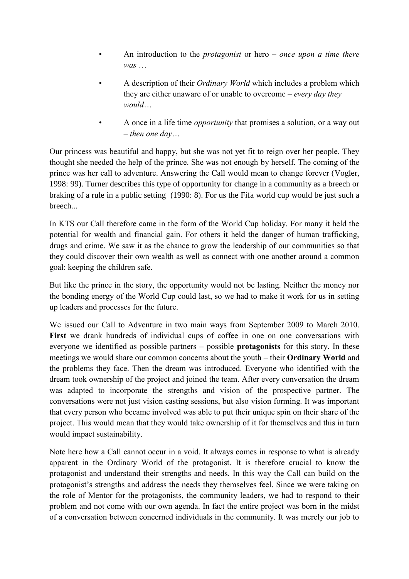- An introduction to the *protagonist* or hero *once upon a time there was* …
- A description of their *Ordinary World* which includes a problem which they are either unaware of or unable to overcome – *every day they would*…
- A once in a life time *opportunity* that promises a solution, or a way out – *then one day*…

Our princess was beautiful and happy, but she was not yet fit to reign over her people. They thought she needed the help of the prince. She was not enough by herself. The coming of the prince was her call to adventure. Answering the Call would mean to change forever (Vogler, 1998: 99). Turner describes this type of opportunity for change in a community as a breech or braking of a rule in a public setting (1990: 8). For us the Fifa world cup would be just such a breech...

In KTS our Call therefore came in the form of the World Cup holiday. For many it held the potential for wealth and financial gain. For others it held the danger of human trafficking, drugs and crime. We saw it as the chance to grow the leadership of our communities so that they could discover their own wealth as well as connect with one another around a common goal: keeping the children safe.

But like the prince in the story, the opportunity would not be lasting. Neither the money nor the bonding energy of the World Cup could last, so we had to make it work for us in setting up leaders and processes for the future.

We issued our Call to Adventure in two main ways from September 2009 to March 2010. **First** we drank hundreds of individual cups of coffee in one on one conversations with everyone we identified as possible partners – possible **protagonists** for this story. In these meetings we would share our common concerns about the youth – their **Ordinary World** and the problems they face. Then the dream was introduced. Everyone who identified with the dream took ownership of the project and joined the team. After every conversation the dream was adapted to incorporate the strengths and vision of the prospective partner. The conversations were not just vision casting sessions, but also vision forming. It was important that every person who became involved was able to put their unique spin on their share of the project. This would mean that they would take ownership of it for themselves and this in turn would impact sustainability.

Note here how a Call cannot occur in a void. It always comes in response to what is already apparent in the Ordinary World of the protagonist. It is therefore crucial to know the protagonist and understand their strengths and needs. In this way the Call can build on the protagonist's strengths and address the needs they themselves feel. Since we were taking on the role of Mentor for the protagonists, the community leaders, we had to respond to their problem and not come with our own agenda. In fact the entire project was born in the midst of a conversation between concerned individuals in the community. It was merely our job to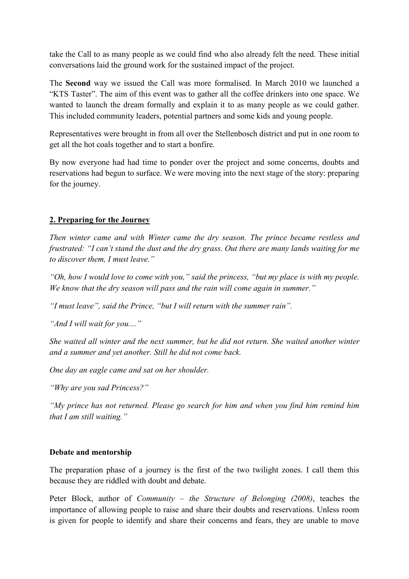take the Call to as many people as we could find who also already felt the need. These initial conversations laid the ground work for the sustained impact of the project.

The **Second** way we issued the Call was more formalised. In March 2010 we launched a "KTS Taster". The aim of this event was to gather all the coffee drinkers into one space. We wanted to launch the dream formally and explain it to as many people as we could gather. This included community leaders, potential partners and some kids and young people.

Representatives were brought in from all over the Stellenbosch district and put in one room to get all the hot coals together and to start a bonfire.

By now everyone had had time to ponder over the project and some concerns, doubts and reservations had begun to surface. We were moving into the next stage of the story: preparing for the journey.

## **2. Preparing for the Journey**

*Then winter came and with Winter came the dry season. The prince became restless and frustrated: "I can't stand the dust and the dry grass. Out there are many lands waiting for me to discover them, I must leave."*

*"Oh, how I would love to come with you," said the princess, "but my place is with my people. We know that the dry season will pass and the rain will come again in summer."*

*"I must leave", said the Prince, "but I will return with the summer rain".*

*"And I will wait for you...."*

*She waited all winter and the next summer, but he did not return. She waited another winter and a summer and yet another. Still he did not come back.*

*One day an eagle came and sat on her shoulder.*

*"Why are you sad Princess?"*

*"My prince has not returned. Please go search for him and when you find him remind him that I am still waiting."*

#### **Debate and mentorship**

The preparation phase of a journey is the first of the two twilight zones. I call them this because they are riddled with doubt and debate.

Peter Block, author of *Community – the Structure of Belonging (2008)*, teaches the importance of allowing people to raise and share their doubts and reservations. Unless room is given for people to identify and share their concerns and fears, they are unable to move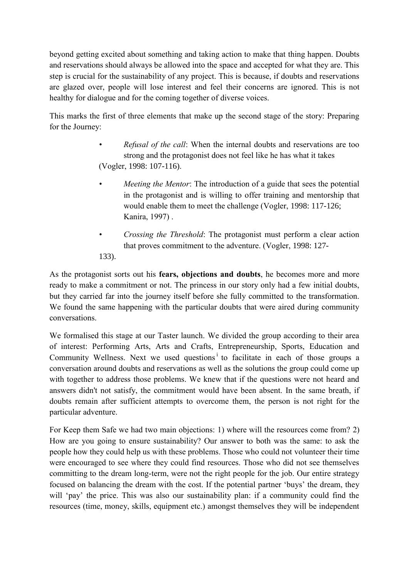beyond getting excited about something and taking action to make that thing happen. Doubts and reservations should always be allowed into the space and accepted for what they are. This step is crucial for the sustainability of any project. This is because, if doubts and reservations are glazed over, people will lose interest and feel their concerns are ignored. This is not healthy for dialogue and for the coming together of diverse voices.

This marks the first of three elements that make up the second stage of the story: Preparing for the Journey:

- *• Refusal of the call*: When the internal doubts and reservations are too strong and the protagonist does not feel like he has what it takes (Vogler, 1998: 107-116).
- *• Meeting the Mentor*: The introduction of a guide that sees the potential in the protagonist and is willing to offer training and mentorship that would enable them to meet the challenge (Vogler, 1998: 117-126; Kanira, 1997) .
- *Crossing the Threshold*: The protagonist must perform a clear action that proves commitment to the adventure. (Vogler, 1998: 127- 133).

As the protagonist sorts out his **fears, objections and doubts**, he becomes more and more ready to make a commitment or not. The princess in our story only had a few initial doubts, but they carried far into the journey itself before she fully committed to the transformation. We found the same happening with the particular doubts that were aired during community conversations.

We formalised this stage at our Taster launch. We divided the group according to their area of interest: Performing Arts, Arts and Crafts, Entrepreneurship, Sports, Education and Community Wellness. Next we used questions<sup>i</sup> to facilitate in each of those groups a conversation around doubts and reservations as well as the solutions the group could come up with together to address those problems. We knew that if the questions were not heard and answers didn't not satisfy, the commitment would have been absent. In the same breath, if doubts remain after sufficient attempts to overcome them, the person is not right for the particular adventure.

For Keep them Safe we had two main objections: 1) where will the resources come from? 2) How are you going to ensure sustainability? Our answer to both was the same: to ask the people how they could help us with these problems. Those who could not volunteer their time were encouraged to see where they could find resources. Those who did not see themselves committing to the dream long-term, were not the right people for the job. Our entire strategy focused on balancing the dream with the cost. If the potential partner 'buys' the dream, they will 'pay' the price. This was also our sustainability plan: if a community could find the resources (time, money, skills, equipment etc.) amongst themselves they will be independent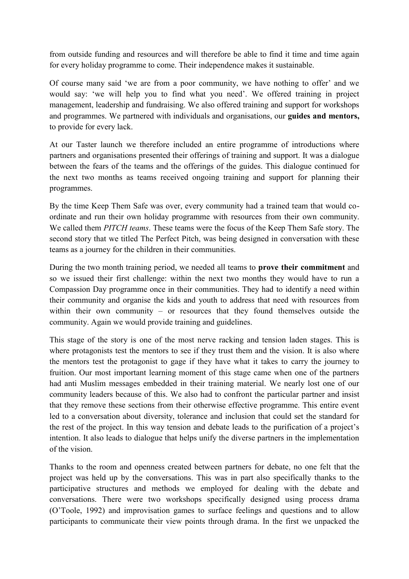from outside funding and resources and will therefore be able to find it time and time again for every holiday programme to come. Their independence makes it sustainable.

Of course many said 'we are from a poor community, we have nothing to offer' and we would say: 'we will help you to find what you need'. We offered training in project management, leadership and fundraising. We also offered training and support for workshops and programmes. We partnered with individuals and organisations, our **guides and mentors,** to provide for every lack.

At our Taster launch we therefore included an entire programme of introductions where partners and organisations presented their offerings of training and support. It was a dialogue between the fears of the teams and the offerings of the guides. This dialogue continued for the next two months as teams received ongoing training and support for planning their programmes.

By the time Keep Them Safe was over, every community had a trained team that would coordinate and run their own holiday programme with resources from their own community. We called them *PITCH teams*. These teams were the focus of the Keep Them Safe story. The second story that we titled The Perfect Pitch, was being designed in conversation with these teams as a journey for the children in their communities.

During the two month training period, we needed all teams to **prove their commitment** and so we issued their first challenge: within the next two months they would have to run a Compassion Day programme once in their communities. They had to identify a need within their community and organise the kids and youth to address that need with resources from within their own community – or resources that they found themselves outside the community. Again we would provide training and guidelines.

This stage of the story is one of the most nerve racking and tension laden stages. This is where protagonists test the mentors to see if they trust them and the vision. It is also where the mentors test the protagonist to gage if they have what it takes to carry the journey to fruition. Our most important learning moment of this stage came when one of the partners had anti Muslim messages embedded in their training material. We nearly lost one of our community leaders because of this. We also had to confront the particular partner and insist that they remove these sections from their otherwise effective programme. This entire event led to a conversation about diversity, tolerance and inclusion that could set the standard for the rest of the project. In this way tension and debate leads to the purification of a project's intention. It also leads to dialogue that helps unify the diverse partners in the implementation of the vision.

Thanks to the room and openness created between partners for debate, no one felt that the project was held up by the conversations. This was in part also specifically thanks to the participative structures and methods we employed for dealing with the debate and conversations. There were two workshops specifically designed using process drama (O'Toole, 1992) and improvisation games to surface feelings and questions and to allow participants to communicate their view points through drama. In the first we unpacked the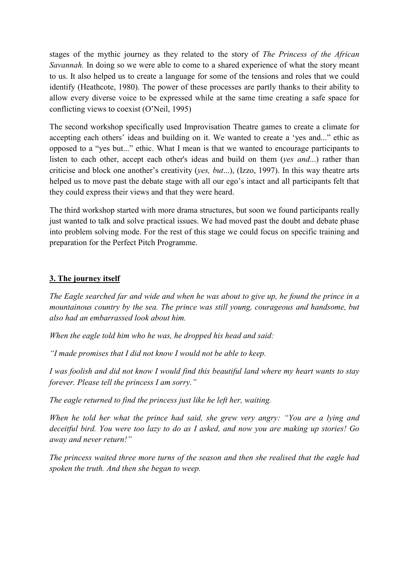stages of the mythic journey as they related to the story of *The Princess of the African Savannah.* In doing so we were able to come to a shared experience of what the story meant to us. It also helped us to create a language for some of the tensions and roles that we could identify (Heathcote, 1980). The power of these processes are partly thanks to their ability to allow every diverse voice to be expressed while at the same time creating a safe space for conflicting views to coexist (O'Neil, 1995)

The second workshop specifically used Improvisation Theatre games to create a climate for accepting each others' ideas and building on it. We wanted to create a 'yes and..." ethic as opposed to a "yes but..." ethic. What I mean is that we wanted to encourage participants to listen to each other, accept each other's ideas and build on them (*yes and*...) rather than criticise and block one another's creativity (*yes, but*...), (Izzo, 1997). In this way theatre arts helped us to move past the debate stage with all our ego's intact and all participants felt that they could express their views and that they were heard.

The third workshop started with more drama structures, but soon we found participants really just wanted to talk and solve practical issues. We had moved past the doubt and debate phase into problem solving mode. For the rest of this stage we could focus on specific training and preparation for the Perfect Pitch Programme.

### **3. The journey itself**

*The Eagle searched far and wide and when he was about to give up, he found the prince in a mountainous country by the sea. The prince was still young, courageous and handsome, but also had an embarrassed look about him.*

*When the eagle told him who he was, he dropped his head and said:*

*"I made promises that I did not know I would not be able to keep.*

*I was foolish and did not know I would find this beautiful land where my heart wants to stay forever. Please tell the princess I am sorry."*

*The eagle returned to find the princess just like he left her, waiting.*

*When he told her what the prince had said, she grew very angry: "You are a lying and deceitful bird. You were too lazy to do as I asked, and now you are making up stories! Go away and never return!"*

*The princess waited three more turns of the season and then she realised that the eagle had spoken the truth. And then she began to weep.*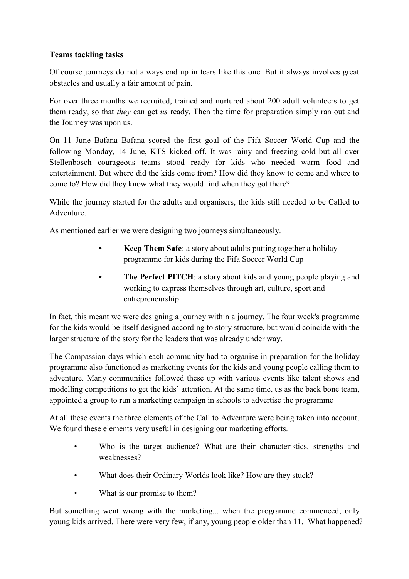## **Teams tackling tasks**

Of course journeys do not always end up in tears like this one. But it always involves great obstacles and usually a fair amount of pain.

For over three months we recruited, trained and nurtured about 200 adult volunteers to get them ready, so that *they* can get *us* ready. Then the time for preparation simply ran out and the Journey was upon us.

On 11 June Bafana Bafana scored the first goal of the Fifa Soccer World Cup and the following Monday, 14 June, KTS kicked off. It was rainy and freezing cold but all over Stellenbosch courageous teams stood ready for kids who needed warm food and entertainment. But where did the kids come from? How did they know to come and where to come to? How did they know what they would find when they got there?

While the journey started for the adults and organisers, the kids still needed to be Called to Adventure.

As mentioned earlier we were designing two journeys simultaneously.

- **• Keep Them Safe**: a story about adults putting together a holiday programme for kids during the Fifa Soccer World Cup
- **• The Perfect PITCH**: a story about kids and young people playing and working to express themselves through art, culture, sport and entrepreneurship

In fact, this meant we were designing a journey within a journey. The four week's programme for the kids would be itself designed according to story structure, but would coincide with the larger structure of the story for the leaders that was already under way.

The Compassion days which each community had to organise in preparation for the holiday programme also functioned as marketing events for the kids and young people calling them to adventure. Many communities followed these up with various events like talent shows and modelling competitions to get the kids' attention. At the same time, us as the back bone team, appointed a group to run a marketing campaign in schools to advertise the programme

At all these events the three elements of the Call to Adventure were being taken into account. We found these elements very useful in designing our marketing efforts.

- Who is the target audience? What are their characteristics, strengths and weaknesses?
- What does their Ordinary Worlds look like? How are they stuck?
- What is our promise to them?

But something went wrong with the marketing... when the programme commenced, only young kids arrived. There were very few, if any, young people older than 11. What happened?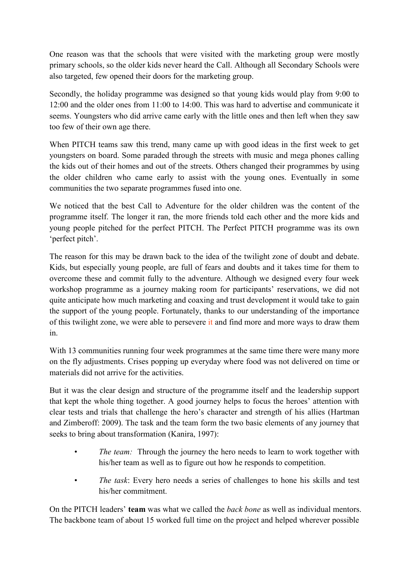One reason was that the schools that were visited with the marketing group were mostly primary schools, so the older kids never heard the Call. Although all Secondary Schools were also targeted, few opened their doors for the marketing group.

Secondly, the holiday programme was designed so that young kids would play from 9:00 to 12:00 and the older ones from 11:00 to 14:00. This was hard to advertise and communicate it seems. Youngsters who did arrive came early with the little ones and then left when they saw too few of their own age there.

When PITCH teams saw this trend, many came up with good ideas in the first week to get youngsters on board. Some paraded through the streets with music and mega phones calling the kids out of their homes and out of the streets. Others changed their programmes by using the older children who came early to assist with the young ones. Eventually in some communities the two separate programmes fused into one.

We noticed that the best Call to Adventure for the older children was the content of the programme itself. The longer it ran, the more friends told each other and the more kids and young people pitched for the perfect PITCH. The Perfect PITCH programme was its own 'perfect pitch'.

The reason for this may be drawn back to the idea of the twilight zone of doubt and debate. Kids, but especially young people, are full of fears and doubts and it takes time for them to overcome these and commit fully to the adventure. Although we designed every four week workshop programme as a journey making room for participants' reservations, we did not quite anticipate how much marketing and coaxing and trust development it would take to gain the support of the young people. Fortunately, thanks to our understanding of the importance of this twilight zone, we were able to persevere it and find more and more ways to draw them in.

With 13 communities running four week programmes at the same time there were many more on the fly adjustments. Crises popping up everyday where food was not delivered on time or materials did not arrive for the activities.

But it was the clear design and structure of the programme itself and the leadership support that kept the whole thing together. A good journey helps to focus the heroes' attention with clear tests and trials that challenge the hero's character and strength of his allies (Hartman and Zimberoff: 2009). The task and the team form the two basic elements of any journey that seeks to bring about transformation (Kanira, 1997):

- *The team:* Through the journey the hero needs to learn to work together with his/her team as well as to figure out how he responds to competition.
- *• The task*: Every hero needs a series of challenges to hone his skills and test his/her commitment.

On the PITCH leaders' **team** was what we called the *back bone* as well as individual mentors. The backbone team of about 15 worked full time on the project and helped wherever possible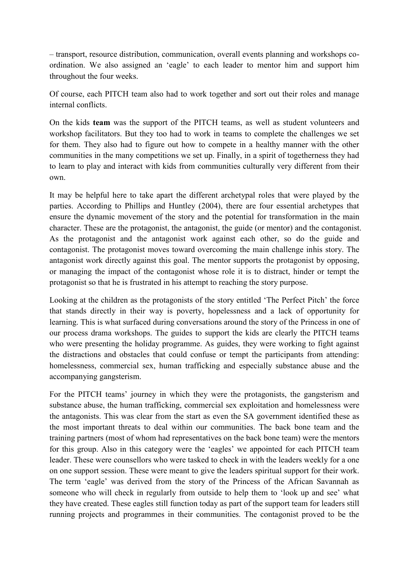– transport, resource distribution, communication, overall events planning and workshops coordination. We also assigned an 'eagle' to each leader to mentor him and support him throughout the four weeks.

Of course, each PITCH team also had to work together and sort out their roles and manage internal conflicts.

On the kids **team** was the support of the PITCH teams, as well as student volunteers and workshop facilitators. But they too had to work in teams to complete the challenges we set for them. They also had to figure out how to compete in a healthy manner with the other communities in the many competitions we set up. Finally, in a spirit of togetherness they had to learn to play and interact with kids from communities culturally very different from their own.

It may be helpful here to take apart the different archetypal roles that were played by the parties. According to Phillips and Huntley (2004), there are four essential archetypes that ensure the dynamic movement of the story and the potential for transformation in the main character. These are the protagonist, the antagonist, the guide (or mentor) and the contagonist. As the protagonist and the antagonist work against each other, so do the guide and contagonist. The protagonist moves toward overcoming the main challenge inhis story. The antagonist work directly against this goal. The mentor supports the protagonist by opposing, or managing the impact of the contagonist whose role it is to distract, hinder or tempt the protagonist so that he is frustrated in his attempt to reaching the story purpose.

Looking at the children as the protagonists of the story entitled 'The Perfect Pitch' the force that stands directly in their way is poverty, hopelessness and a lack of opportunity for learning. This is what surfaced during conversations around the story of the Princess in one of our process drama workshops. The guides to support the kids are clearly the PITCH teams who were presenting the holiday programme. As guides, they were working to fight against the distractions and obstacles that could confuse or tempt the participants from attending: homelessness, commercial sex, human trafficking and especially substance abuse and the accompanying gangsterism.

For the PITCH teams' journey in which they were the protagonists, the gangsterism and substance abuse, the human trafficking, commercial sex exploitation and homelessness were the antagonists. This was clear from the start as even the SA government identified these as the most important threats to deal within our communities. The back bone team and the training partners (most of whom had representatives on the back bone team) were the mentors for this group. Also in this category were the 'eagles' we appointed for each PITCH team leader. These were counsellors who were tasked to check in with the leaders weekly for a one on one support session. These were meant to give the leaders spiritual support for their work. The term 'eagle' was derived from the story of the Princess of the African Savannah as someone who will check in regularly from outside to help them to 'look up and see' what they have created. These eagles still function today as part of the support team for leaders still running projects and programmes in their communities. The contagonist proved to be the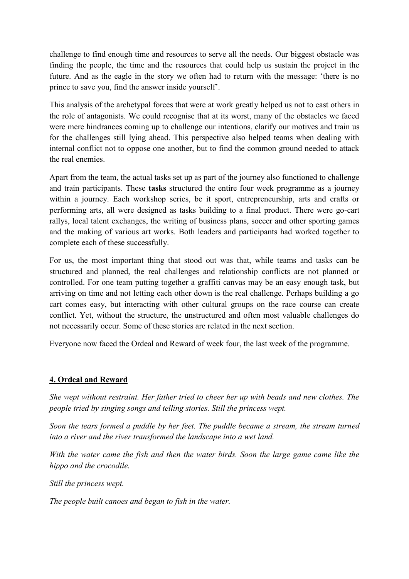challenge to find enough time and resources to serve all the needs. Our biggest obstacle was finding the people, the time and the resources that could help us sustain the project in the future. And as the eagle in the story we often had to return with the message: 'there is no prince to save you, find the answer inside yourself'.

This analysis of the archetypal forces that were at work greatly helped us not to cast others in the role of antagonists. We could recognise that at its worst, many of the obstacles we faced were mere hindrances coming up to challenge our intentions, clarify our motives and train us for the challenges still lying ahead. This perspective also helped teams when dealing with internal conflict not to oppose one another, but to find the common ground needed to attack the real enemies.

Apart from the team, the actual tasks set up as part of the journey also functioned to challenge and train participants. These **tasks** structured the entire four week programme as a journey within a journey. Each workshop series, be it sport, entrepreneurship, arts and crafts or performing arts, all were designed as tasks building to a final product. There were go-cart rallys, local talent exchanges, the writing of business plans, soccer and other sporting games and the making of various art works. Both leaders and participants had worked together to complete each of these successfully.

For us, the most important thing that stood out was that, while teams and tasks can be structured and planned, the real challenges and relationship conflicts are not planned or controlled. For one team putting together a graffiti canvas may be an easy enough task, but arriving on time and not letting each other down is the real challenge. Perhaps building a go cart comes easy, but interacting with other cultural groups on the race course can create conflict. Yet, without the structure, the unstructured and often most valuable challenges do not necessarily occur. Some of these stories are related in the next section.

Everyone now faced the Ordeal and Reward of week four, the last week of the programme.

## **4. Ordeal and Reward**

*She wept without restraint. Her father tried to cheer her up with beads and new clothes. The people tried by singing songs and telling stories. Still the princess wept.*

*Soon the tears formed a puddle by her feet. The puddle became a stream, the stream turned into a river and the river transformed the landscape into a wet land.* 

*With the water came the fish and then the water birds. Soon the large game came like the hippo and the crocodile.*

*Still the princess wept.*

*The people built canoes and began to fish in the water.*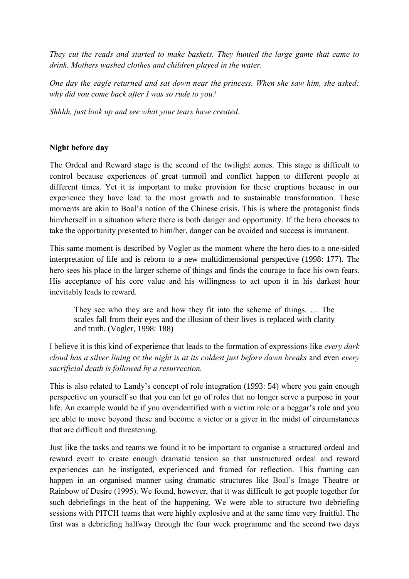*They cut the reads and started to make baskets. They hunted the large game that came to drink. Mothers washed clothes and children played in the water.*

*One day the eagle returned and sat down near the princess. When she saw him, she asked: why did you come back after I was so rude to you?*

*Shhhh, just look up and see what your tears have created.*

### **Night before day**

The Ordeal and Reward stage is the second of the twilight zones. This stage is difficult to control because experiences of great turmoil and conflict happen to different people at different times. Yet it is important to make provision for these eruptions because in our experience they have lead to the most growth and to sustainable transformation. These moments are akin to Boal's notion of the Chinese crisis. This is where the protagonist finds him/herself in a situation where there is both danger and opportunity. If the hero chooses to take the opportunity presented to him/her, danger can be avoided and success is immanent.

This same moment is described by Vogler as the moment where the hero dies to a one-sided interpretation of life and is reborn to a new multidimensional perspective (1998: 177). The hero sees his place in the larger scheme of things and finds the courage to face his own fears. His acceptance of his core value and his willingness to act upon it in his darkest hour inevitably leads to reward.

They see who they are and how they fit into the scheme of things. … The scales fall from their eyes and the illusion of their lives is replaced with clarity and truth. (Vogler, 1998: 188)

I believe it is this kind of experience that leads to the formation of expressions like *every dark cloud has a silver lining* or *the night is at its coldest just before dawn breaks* and even *every sacrificial death is followed by a resurrection.*

This is also related to Landy's concept of role integration (1993: 54) where you gain enough perspective on yourself so that you can let go of roles that no longer serve a purpose in your life. An example would be if you overidentified with a victim role or a beggar's role and you are able to move beyond these and become a victor or a giver in the midst of circumstances that are difficult and threatening.

Just like the tasks and teams we found it to be important to organise a structured ordeal and reward event to create enough dramatic tension so that unstructured ordeal and reward experiences can be instigated, experienced and framed for reflection. This framing can happen in an organised manner using dramatic structures like Boal's Image Theatre or Rainbow of Desire (1995). We found, however, that it was difficult to get people together for such debriefings in the heat of the happening. We were able to structure two debriefing sessions with PITCH teams that were highly explosive and at the same time very fruitful. The first was a debriefing halfway through the four week programme and the second two days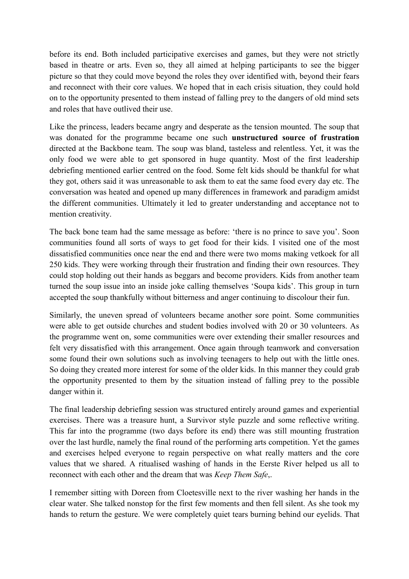before its end. Both included participative exercises and games, but they were not strictly based in theatre or arts. Even so, they all aimed at helping participants to see the bigger picture so that they could move beyond the roles they over identified with, beyond their fears and reconnect with their core values. We hoped that in each crisis situation, they could hold on to the opportunity presented to them instead of falling prey to the dangers of old mind sets and roles that have outlived their use.

Like the princess, leaders became angry and desperate as the tension mounted. The soup that was donated for the programme became one such **unstructured source of frustration** directed at the Backbone team. The soup was bland, tasteless and relentless. Yet, it was the only food we were able to get sponsored in huge quantity. Most of the first leadership debriefing mentioned earlier centred on the food. Some felt kids should be thankful for what they got, others said it was unreasonable to ask them to eat the same food every day etc. The conversation was heated and opened up many differences in framework and paradigm amidst the different communities. Ultimately it led to greater understanding and acceptance not to mention creativity.

The back bone team had the same message as before: 'there is no prince to save you'. Soon communities found all sorts of ways to get food for their kids. I visited one of the most dissatisfied communities once near the end and there were two moms making vetkoek for all 250 kids. They were working through their frustration and finding their own resources. They could stop holding out their hands as beggars and become providers. Kids from another team turned the soup issue into an inside joke calling themselves 'Soupa kids'. This group in turn accepted the soup thankfully without bitterness and anger continuing to discolour their fun.

Similarly, the uneven spread of volunteers became another sore point. Some communities were able to get outside churches and student bodies involved with 20 or 30 volunteers. As the programme went on, some communities were over extending their smaller resources and felt very dissatisfied with this arrangement. Once again through teamwork and conversation some found their own solutions such as involving teenagers to help out with the little ones. So doing they created more interest for some of the older kids. In this manner they could grab the opportunity presented to them by the situation instead of falling prey to the possible danger within it.

The final leadership debriefing session was structured entirely around games and experiential exercises. There was a treasure hunt, a Survivor style puzzle and some reflective writing. This far into the programme (two days before its end) there was still mounting frustration over the last hurdle, namely the final round of the performing arts competition. Yet the games and exercises helped everyone to regain perspective on what really matters and the core values that we shared. A ritualised washing of hands in the Eerste River helped us all to reconnect with each other and the dream that was *Keep Them Safe*,.

I remember sitting with Doreen from Cloetesville next to the river washing her hands in the clear water. She talked nonstop for the first few moments and then fell silent. As she took my hands to return the gesture. We were completely quiet tears burning behind our eyelids. That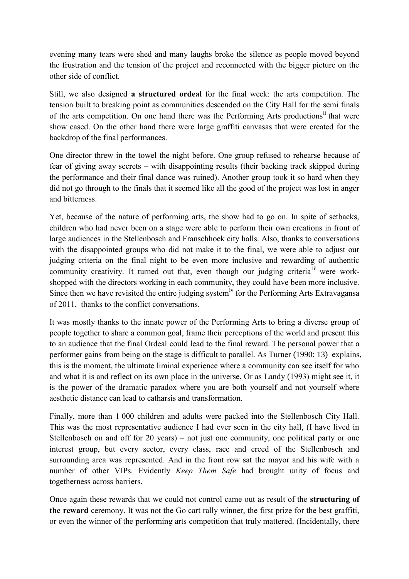evening many tears were shed and many laughs broke the silence as people moved beyond the frustration and the tension of the project and reconnected with the bigger picture on the other side of conflict.

Still, we also designed **a structured ordeal** for the final week: the arts competition. The tension built to breaking point as communities descended on the City Hall for the semi finals of the arts competition. On one hand there was the Performing Arts productions<sup>ii</sup> that were show cased. On the other hand there were large graffiti canvasas that were created for the backdrop of the final performances.

One director threw in the towel the night before. One group refused to rehearse because of fear of giving away secrets – with disappointing results (their backing track skipped during the performance and their final dance was ruined). Another group took it so hard when they did not go through to the finals that it seemed like all the good of the project was lost in anger and bitterness.

Yet, because of the nature of performing arts, the show had to go on. In spite of setbacks, children who had never been on a stage were able to perform their own creations in front of large audiences in the Stellenbosch and Franschhoek city halls. Also, thanks to conversations with the disappointed groups who did not make it to the final, we were able to adjust our judging criteria on the final night to be even more inclusive and rewarding of authentic community creativity. It turned out that, even though our judging criteria iii were workshopped with the directors working in each community, they could have been more inclusive. Since then we have revisited the entire judging system<sup>iv</sup> for the Performing Arts Extravagansa of 2011, thanks to the conflict conversations.

It was mostly thanks to the innate power of the Performing Arts to bring a diverse group of people together to share a common goal, frame their perceptions of the world and present this to an audience that the final Ordeal could lead to the final reward. The personal power that a performer gains from being on the stage is difficult to parallel. As Turner (1990: 13) explains, this is the moment, the ultimate liminal experience where a community can see itself for who and what it is and reflect on its own place in the universe. Or as Landy (1993) might see it, it is the power of the dramatic paradox where you are both yourself and not yourself where aesthetic distance can lead to catharsis and transformation.

Finally, more than 1 000 children and adults were packed into the Stellenbosch City Hall. This was the most representative audience I had ever seen in the city hall, (I have lived in Stellenbosch on and off for 20 years) – not just one community, one political party or one interest group, but every sector, every class, race and creed of the Stellenbosch and surrounding area was represented. And in the front row sat the mayor and his wife with a number of other VIPs. Evidently *Keep Them Safe* had brought unity of focus and togetherness across barriers.

Once again these rewards that we could not control came out as result of the **structuring of the reward** ceremony. It was not the Go cart rally winner, the first prize for the best graffiti, or even the winner of the performing arts competition that truly mattered. (Incidentally, there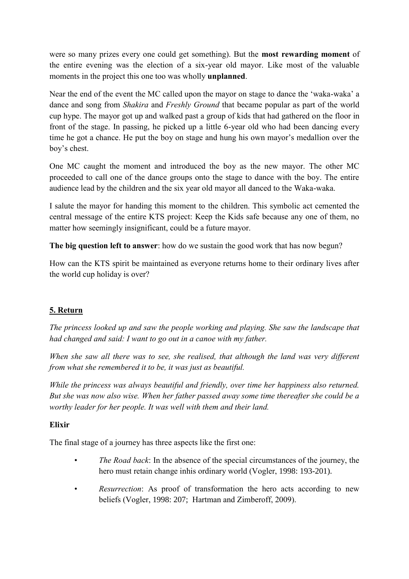were so many prizes every one could get something). But the **most rewarding moment** of the entire evening was the election of a six-year old mayor. Like most of the valuable moments in the project this one too was wholly **unplanned**.

Near the end of the event the MC called upon the mayor on stage to dance the 'waka-waka' a dance and song from *Shakira* and *Freshly Ground* that became popular as part of the world cup hype. The mayor got up and walked past a group of kids that had gathered on the floor in front of the stage. In passing, he picked up a little 6-year old who had been dancing every time he got a chance. He put the boy on stage and hung his own mayor's medallion over the boy's chest.

One MC caught the moment and introduced the boy as the new mayor. The other MC proceeded to call one of the dance groups onto the stage to dance with the boy. The entire audience lead by the children and the six year old mayor all danced to the Waka-waka.

I salute the mayor for handing this moment to the children. This symbolic act cemented the central message of the entire KTS project: Keep the Kids safe because any one of them, no matter how seemingly insignificant, could be a future mayor.

**The big question left to answer**: how do we sustain the good work that has now begun?

How can the KTS spirit be maintained as everyone returns home to their ordinary lives after the world cup holiday is over?

## **5. Return**

*The princess looked up and saw the people working and playing. She saw the landscape that had changed and said: I want to go out in a canoe with my father.*

*When she saw all there was to see, she realised, that although the land was very different from what she remembered it to be, it was just as beautiful.*

*While the princess was always beautiful and friendly, over time her happiness also returned. But she was now also wise. When her father passed away some time thereafter she could be a worthy leader for her people. It was well with them and their land.*

## **Elixir**

The final stage of a journey has three aspects like the first one:

- *The Road back*: In the absence of the special circumstances of the journey, the hero must retain change inhis ordinary world (Vogler, 1998: 193-201).
- *Resurrection*: As proof of transformation the hero acts according to new beliefs (Vogler, 1998: 207; Hartman and Zimberoff, 2009).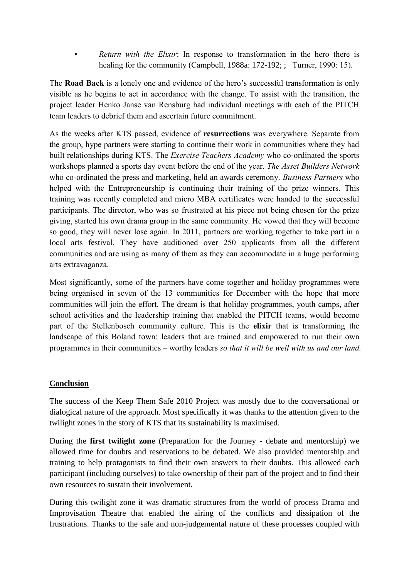*• Return with the Elixir*: In response to transformation in the hero there is healing for the community (Campbell, 1988a: 172-192; ; Turner, 1990: 15).

The **Road Back** is a lonely one and evidence of the hero's successful transformation is only visible as he begins to act in accordance with the change. To assist with the transition, the project leader Henko Janse van Rensburg had individual meetings with each of the PITCH team leaders to debrief them and ascertain future commitment.

As the weeks after KTS passed, evidence of **resurrections** was everywhere. Separate from the group, hype partners were starting to continue their work in communities where they had built relationships during KTS. The *Exercise Teachers Academy* who co-ordinated the sports workshops planned a sports day event before the end of the year. *The Asset Builders Network* who co-ordinated the press and marketing, held an awards ceremony. *Business Partners* who helped with the Entrepreneurship is continuing their training of the prize winners. This training was recently completed and micro MBA certificates were handed to the successful participants. The director, who was so frustrated at his piece not being chosen for the prize giving, started his own drama group in the same community. He vowed that they will become so good, they will never lose again. In 2011, partners are working together to take part in a local arts festival. They have auditioned over 250 applicants from all the different communities and are using as many of them as they can accommodate in a huge performing arts extravaganza.

Most significantly, some of the partners have come together and holiday programmes were being organised in seven of the 13 communities for December with the hope that more communities will join the effort. The dream is that holiday programmes, youth camps, after school activities and the leadership training that enabled the PITCH teams, would become part of the Stellenbosch community culture. This is the **elixir** that is transforming the landscape of this Boland town: leaders that are trained and empowered to run their own programmes in their communities – worthy leaders *so that it will be well with us and our land.*

#### **Conclusion**

The success of the Keep Them Safe 2010 Project was mostly due to the conversational or dialogical nature of the approach. Most specifically it was thanks to the attention given to the twilight zones in the story of KTS that its sustainability is maximised.

During the **first twilight zone** (Preparation for the Journey - debate and mentorship) we allowed time for doubts and reservations to be debated. We also provided mentorship and training to help protagonists to find their own answers to their doubts. This allowed each participant (including ourselves) to take ownership of their part of the project and to find their own resources to sustain their involvement.

During this twilight zone it was dramatic structures from the world of process Drama and Improvisation Theatre that enabled the airing of the conflicts and dissipation of the frustrations. Thanks to the safe and non-judgemental nature of these processes coupled with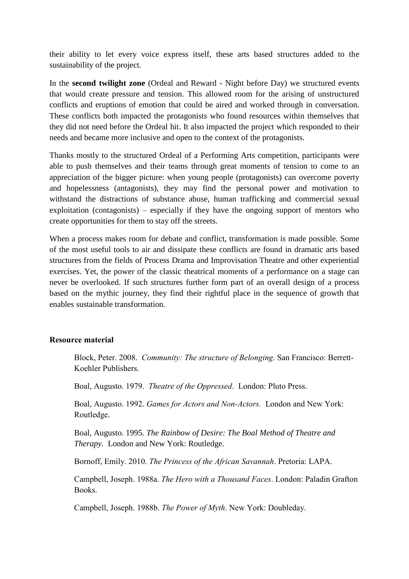their ability to let every voice express itself, these arts based structures added to the sustainability of the project.

In the **second twilight zone** (Ordeal and Reward - Night before Day) we structured events that would create pressure and tension. This allowed room for the arising of unstructured conflicts and eruptions of emotion that could be aired and worked through in conversation. These conflicts both impacted the protagonists who found resources within themselves that they did not need before the Ordeal hit. It also impacted the project which responded to their needs and became more inclusive and open to the context of the protagonists.

Thanks mostly to the structured Ordeal of a Performing Arts competition, participants were able to push themselves and their teams through great moments of tension to come to an appreciation of the bigger picture: when young people (protagonists) can overcome poverty and hopelessness (antagonists), they may find the personal power and motivation to withstand the distractions of substance abuse, human trafficking and commercial sexual exploitation (contagonists) – especially if they have the ongoing support of mentors who create opportunities for them to stay off the streets.

When a process makes room for debate and conflict, transformation is made possible. Some of the most useful tools to air and dissipate these conflicts are found in dramatic arts based structures from the fields of Process Drama and Improvisation Theatre and other experiential exercises. Yet, the power of the classic theatrical moments of a performance on a stage can never be overlooked. If such structures further form part of an overall design of a process based on the mythic journey, they find their rightful place in the sequence of growth that enables sustainable transformation.

#### **Resource material**

Block, Peter. 2008. *Community: The structure of Belonging*. San Francisco: Berrett-Koehler Publishers.

Boal, Augusto. 1979. *Theatre of the Oppressed*. London: Pluto Press.

Boal, Augusto. 1992. *Games for Actors and Non-Actors.* London and New York: Routledge.

Boal, Augusto. 1995. *The Rainbow of Desire: The Boal Method of Theatre and Therapy.* London and New York: Routledge.

Bornoff, Emily. 2010. *The Princess of the African Savannah*. Pretoria: LAPA.

Campbell, Joseph. 1988a. *The Hero with a Thousand Faces*. London: Paladin Grafton Books.

Campbell, Joseph. 1988b. *The Power of Myth*. New York: Doubleday.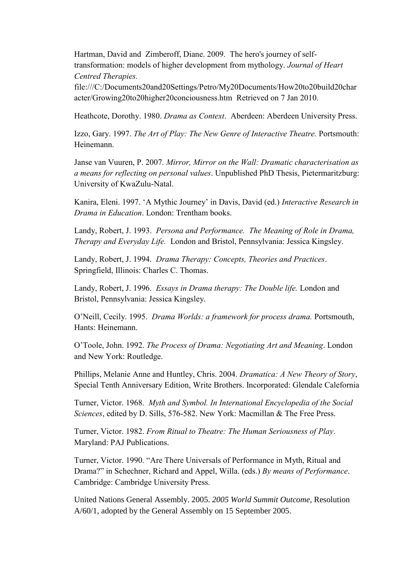Hartman, David and Zimberoff, Diane. 2009. The hero's journey of selftransformation: models of higher development from mythology. *Journal of Heart Centred Therapies.*

file:///C:/Documents20and20Settings/Petro/My20Documents/How20to20build20char acter/Growing20to20higher20conciousness.htm Retrieved on 7 Jan 2010.

Heathcote, Dorothy. 1980. *Drama as Context*. Aberdeen: Aberdeen University Press.

Izzo, Gary. 1997. *The Art of Play: The New Genre of Interactive Theatre.* Portsmouth: Heinemann.

Janse van Vuuren, P. 2007*. Mirror, Mirror on the Wall: Dramatic characterisation as a means for reflecting on personal values*. Unpublished PhD Thesis, Pietermaritzburg: University of KwaZulu-Natal.

Kanira, Eleni. 1997. 'A Mythic Journey' in Davis, David (ed.) *Interactive Research in Drama in Education*. London: Trentham books.

Landy, Robert, J. 1993. *Persona and Performance. The Meaning of Role in Drama, Therapy and Everyday Life.* London and Bristol, Pennsylvania: Jessica Kingsley.

Landy, Robert, J. 1994. *Drama Therapy: Concepts, Theories and Practices*. Springfield, Illinois: Charles C. Thomas.

Landy, Robert, J. 1996. *Essays in Drama therapy: The Double life.* London and Bristol, Pennsylvania: Jessica Kingsley.

O'Neill, Cecily. 1995. *Drama Worlds: a framework for process drama.* Portsmouth, Hants: Heinemann.

O'Toole, John. 1992. *The Process of Drama: Negotiating Art and Meaning*. London and New York: Routledge.

Phillips, Melanie Anne and Huntley, Chris. 2004. *Dramatica: A New Theory of Story*, Special Tenth Anniversary Edition, Write Brothers. Incorporated: Glendale Calefornia

Turner, Victor. 1968. *Myth and Symbol. In International Encyclopedia of the Social Sciences*, edited by D. Sills, 576-582. New York: Macmillan & The Free Press.

Turner, Victor. 1982. *From Ritual to Theatre: The Human Seriousness of Play*. Maryland: PAJ Publications.

Turner, Victor. 1990. "Are There Universals of Performance in Myth, Ritual and Drama?" in Schechner, Richard and Appel, Willa. (eds.) *By means of Performance*. Cambridge: Cambridge University Press.

[United Nations General Assembly.](http://en.wikipedia.org/wiki/United_Nations_General_Assembly) 2005. *[2005 World Summit Outcome,](http://data.unaids.org/Topics/UniversalAccess/worldsummitoutcome_resolution_24oct2005_en.pdf)* Resolution A/60/1, adopted by the General Assembly on 15 September 2005.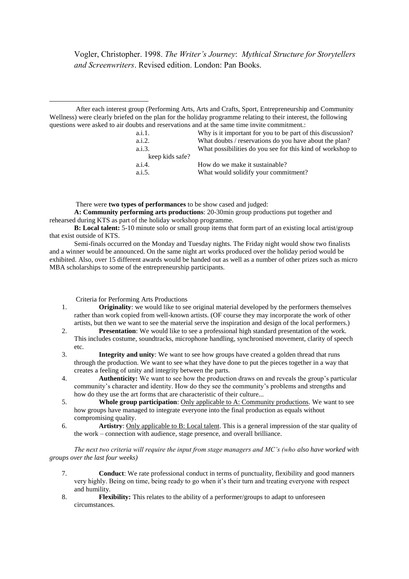Vogler, Christopher. 1998. *The Writer's Journey*: *Mythical Structure for Storytellers and Screenwriters*. Revised edition. London: Pan Books.

1 After each interest group (Performing Arts, Arts and Crafts, Sport, Entrepreneurship and Community Wellness) were clearly briefed on the plan for the holiday programme relating to their interest, the following questions were asked to air doubts and reservations and at the same time invite commitment.:

| a.i.1.          | Why is it important for you to be part of this discussion? |
|-----------------|------------------------------------------------------------|
| a.i.2.          | What doubts / reservations do you have about the plan?     |
| a.i.3.          | What possibilities do you see for this kind of workshop to |
| keep kids safe? |                                                            |
| a.i.4.          | How do we make it sustainable?                             |
| a.i.5.          | What would solidify your commitment?                       |

There were **two types of performances** to be show cased and judged:

**A: Community performing arts productions**: 20-30min group productions put together and rehearsed during KTS as part of the holiday workshop programme.

**B: Local talent:** 5-10 minute solo or small group items that form part of an existing local artist/group that exist outside of KTS.

Semi-finals occurred on the Monday and Tuesday nights. The Friday night would show two finalists and a winner would be announced. On the same night art works produced over the holiday period would be exhibited. Also, over 15 different awards would be handed out as well as a number of other prizes such as micro MBA scholarships to some of the entrepreneurship participants.

Criteria for Performing Arts Productions

- 1. **Originality**: we would like to see original material developed by the performers themselves rather than work copied from well-known artists. (OF course they may incorporate the work of other artists, but then we want to see the material serve the inspiration and design of the local performers.)
- 2. **Presentation**: We would like to see a professional high standard presentation of the work. This includes costume, soundtracks, microphone handling, synchronised movement, clarity of speech etc.
- 3. **Integrity and unity**: We want to see how groups have created a golden thread that runs through the production. We want to see what they have done to put the pieces together in a way that creates a feeling of unity and integrity between the parts.
- 4. **Authenticity:** We want to see how the production draws on and reveals the group's particular community's character and identity. How do they see the community's problems and strengths and how do they use the art forms that are characteristic of their culture...
- 5. **Whole group participation**: Only applicable to A: Community productions. We want to see how groups have managed to integrate everyone into the final production as equals without compromising quality.
- 6. **Artistry**: Only applicable to B: Local talent. This is a general impression of the star quality of the work – connection with audience, stage presence, and overall brilliance.

*The next two criteria will require the input from stage managers and MC's (who also have worked with groups over the last four weeks)* 

- 7. **Conduct**: We rate professional conduct in terms of punctuality, flexibility and good manners very highly. Being on time, being ready to go when it's their turn and treating everyone with respect and humility.
- 8. **Flexibility:** This relates to the ability of a performer/groups to adapt to unforeseen circumstances.